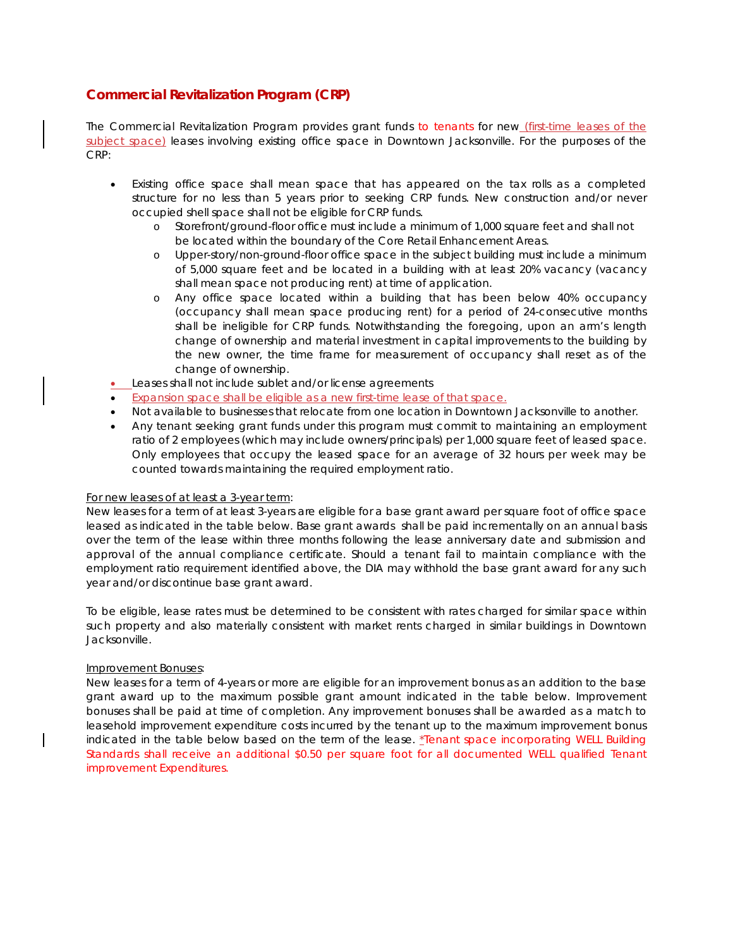## **Commercial Revitalization Program (CRP)**

The Commercial Revitalization Program provides grant funds to tenants for new (first-time leases of the subject space) leases involving existing office space in Downtown Jacksonville. For the purposes of the CRP:

- Existing office space shall mean space that has appeared on the tax rolls as a completed structure for no less than 5 years prior to seeking CRP funds. New construction and/or never occupied shell space shall not be eligible for CRP funds.
	- o Storefront/ground-floor office must include a minimum of 1,000 square feet and shall not be located within the boundary of the Core Retail Enhancement Areas.
	- o Upper-story/non-ground-floor office space in the subject building must include a minimum of 5,000 square feet and be located in a building with at least 20% vacancy (vacancy shall mean space not producing rent) at time of application.
	- o Any office space located within a building that has been below 40% occupancy (occupancy shall mean space producing rent) for a period of 24-consecutive months shall be ineligible for CRP funds. Notwithstanding the foregoing, upon an arm's length change of ownership and material investment in capital improvements to the building by the new owner, the time frame for measurement of occupancy shall reset as of the change of ownership.
- Leases shall not include sublet and/or license agreements
- Expansion space shall be eligible as a new first-time lease of that space.
- Not available to businesses that relocate from one location in Downtown Jacksonville to another.
- Any tenant seeking grant funds under this program must commit to maintaining an employment ratio of 2 employees (which may include owners/principals) per 1,000 square feet of leased space. Only employees that occupy the leased space for an average of 32 hours per week may be counted towards maintaining the required employment ratio.

## For new leases of at least a 3-year term:

New leases for a term of at least 3-years are eligible for a base grant award per square foot of office space leased as indicated in the table below. Base grant awards shall be paid incrementally on an annual basis over the term of the lease within three months following the lease anniversary date and submission and approval of the annual compliance certificate. Should a tenant fail to maintain compliance with the employment ratio requirement identified above, the DIA may withhold the base grant award for any such year and/or discontinue base grant award.

To be eligible, lease rates must be determined to be consistent with rates charged for similar space within such property and also materially consistent with market rents charged in similar buildings in Downtown Jacksonville.

## Improvement Bonuses:

New leases for a term of 4-years or more are eligible for an improvement bonus as an addition to the base grant award up to the maximum possible grant amount indicated in the table below. Improvement bonuses shall be paid at time of completion. Any improvement bonuses shall be awarded as a match to leasehold improvement expenditure costs incurred by the tenant up to the maximum improvement bonus indicated in the table below based on the term of the lease. \*Tenant space incorporating WELL Building Standards shall receive an additional \$0.50 per square foot for all documented WELL qualified Tenant improvement Expenditures.